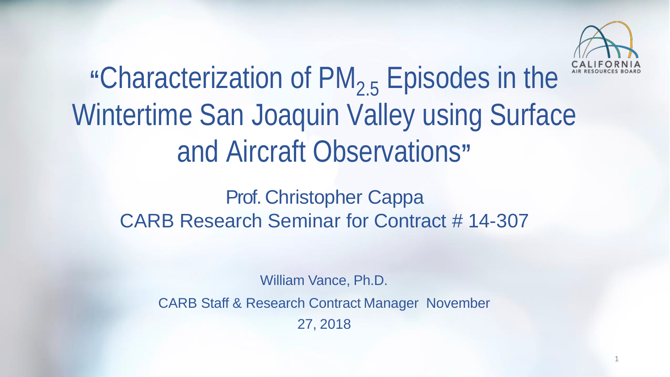

# **"**Characterization of PM2.5 Episodes in the Wintertime San Joaquin Valley using Surface and Aircraft Observations**"**

Prof. Christopher Cappa CARB Research Seminar for Contract # 14-307

William Vance, Ph.D.

CARB Staff & Research Contract Manager November

27, 2018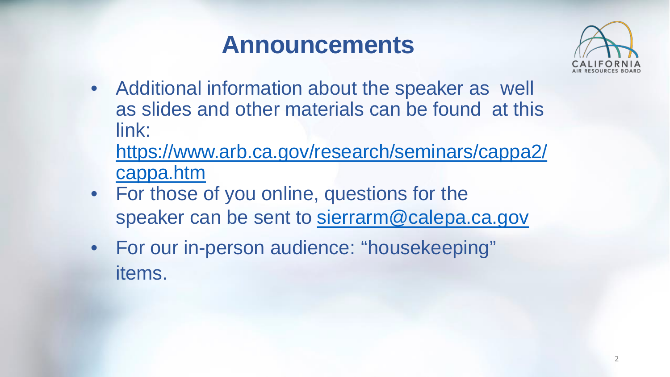### **Announcements**



• Additional information about the speaker as well as slides and other materials can be found at this link:

[https://www.arb.ca.gov/research/seminars/cappa2/](https://www.arb.ca.gov/research/seminars/cappa2/cappa.htm) cappa.htm

- For those of you online, questions for the speaker can be sent to [sierrarm@calepa.ca.gov](mailto:sierrarm@calepa.ca.gov)
- For our in-person audience: "housekeeping" items.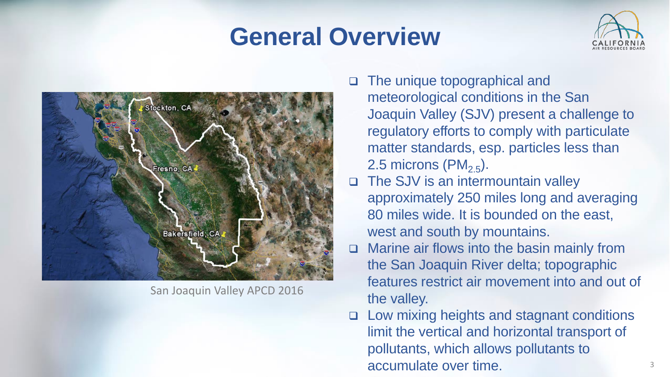#### **General Overview**





San Joaquin Valley APCD 2016

- meteorological conditions in the San Joaquin Valley (SJV) present a challenge to matter standards, esp. particles less than The unique topographical and regulatory efforts to comply with particulate 2.5 microns  $(PM_{2.5})$ .
- □ The SJV is an intermountain valley approximately 250 miles long and averaging 80 miles wide. It is bounded on the east, west and south by mountains.
- □ Marine air flows into the basin mainly from the San Joaquin River delta; topographic features restrict air movement into and out of the valley.
- limit the vertical and horizontal transport of pollutants, which allows pollutants to  $\blacksquare$ accumulate over time. $\blacksquare$ □ Low mixing heights and stagnant conditions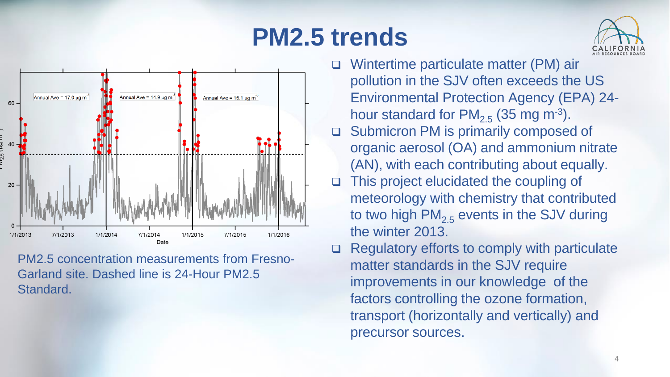## **PM2.5 trends**





**PM2.5 concentration measurements from Fresno-**Garland site, Dashed line is 24-Hour PM2.5 Standard.

- □ Wintertime particulate matter (PM) air pollution in the SJV often exceeds the US **Environmental Protection Agency (EPA) 24**hour standard for  $PM_{2.5}$  (35 mg m<sup>-3</sup>).
- Submicron PM is primarily composed of  $\Box$ organic aerosol (OA) and ammonium nitrate (AN), with each contributing about equally.
- This project elucidated the coupling of meteorology with chemistry that contributed to two high  $PM_{2.5}$  events in the SJV during the winter 2013.
- Regulatory efforts to comply with particulate matter standards in the SJV require improvements in our knowledge of the factors controlling the ozone formation, transport (horizontally and vertically) and precursor sources.